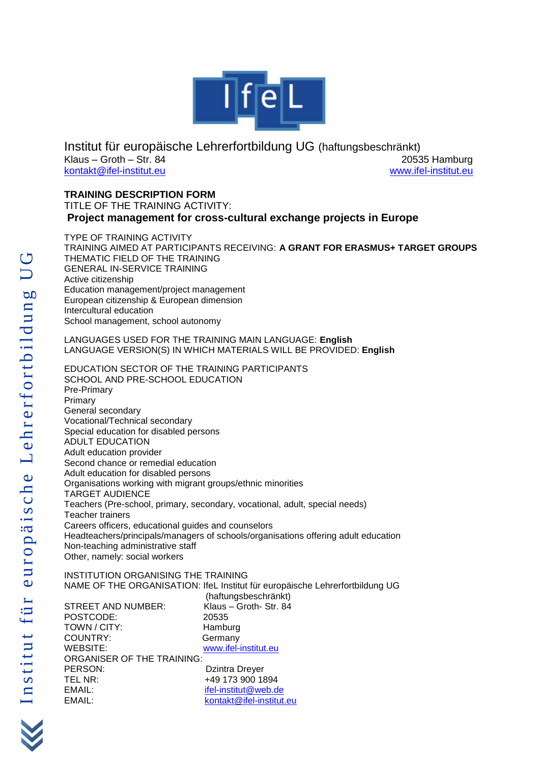

Institut für europäische Lehrerfortbildung UG (haftungsbeschränkt) Klaus – Groth – Str. 84 20535 Hamburg [kontakt@ifel-institut.eu](mailto:kontakt@ifel-institut.eu) [www.ifel-institut.eu](http://www.ifel-institut.eu/)

# **TRAINING DESCRIPTION FORM**

TITLE OF THE TRAINING ACTIVITY: **Project management for cross-cultural exchange projects in Europe**

TYPE OF TRAINING ACTIVITY TRAINING AIMED AT PARTICIPANTS RECEIVING: **A GRANT FOR ERASMUS+ TARGET GROUPS** THEMATIC FIELD OF THE TRAINING GENERAL IN-SERVICE TRAINING Active citizenship Education management/project management European citizenship & European dimension Intercultural education School management, school autonomy

LANGUAGES USED FOR THE TRAINING MAIN LANGUAGE: **English**  LANGUAGE VERSION(S) IN WHICH MATERIALS WILL BE PROVIDED: **English**

EDUCATION SECTOR OF THE TRAINING PARTICIPANTS SCHOOL AND PRE-SCHOOL EDUCATION Pre-Primary Primary General secondary Vocational/Technical secondary Special education for disabled persons ADULT EDUCATION Adult education provider Second chance or remedial education Adult education for disabled persons Organisations working with migrant groups/ethnic minorities TARGET AUDIENCE Teachers (Pre-school, primary, secondary, vocational, adult, special needs) Teacher trainers Careers officers, educational guides and counselors Headteachers/principals/managers of schools/organisations offering adult education Non-teaching administrative staff Other, namely: social workers

INSTITUTION ORGANISING THE TRAINING NAME OF THE ORGANISATION: IfeL Institut für europäische Lehrerfortbildung UG (haftungsbeschränkt) STREET AND NUMBER: Klaus – Groth- Str. 84 POSTCODE: 20535 TOWN / CITY: Hamburg COUNTRY: Germany WEBSITE: www.ifel-institut.eu ORGANISER OF THE TRAINING: PERSON: Dzintra Dreyer TEL NR: +49 173 900 1894 EMAIL:<br>
EMAIL:<br>
EMAIL:<br>
ifel-institut@ifel-institut

[kontakt@ifel-institut.eu](mailto:kontakt@ifel-institut.eu)

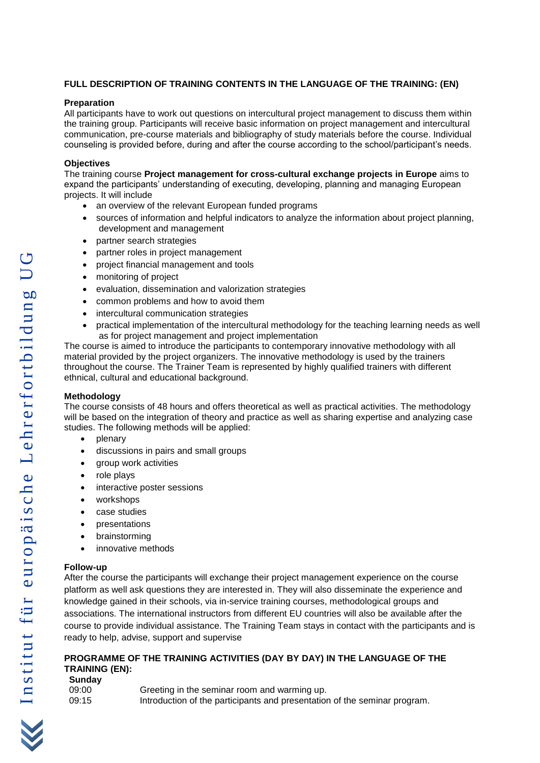# **FULL DESCRIPTION OF TRAINING CONTENTS IN THE LANGUAGE OF THE TRAINING: ( E N )**

## **Preparation**

All participants have to work out questions on intercultural project management to discuss them within the training group. Participants will receive basic information on project management and intercultural communication, pre -course materials and bibliography of study materials before the course. Individual counseling is provided before, during and after the course according to the school/participant's needs.

### **Objectives**

The training course **Project management for cross -cultural exchange projects in Europe** aims to expand the participants' understanding of executing, developing, planning and managing European projects. It will include

- an overview of the relevant European funded programs
- sources of information and helpful indicators to analyze the information about project planning, development and management
- partner search strategies
- partner roles in project management
- project financial management and tools
- monitoring of project
- evaluation, dissemination and valorization strategies
- common problems and how to avoid them
- intercultural communication strategies
- practical implementation of the intercultural methodology for the teaching learning needs as well as for project management and project implementation

The course is aimed to introduce the participants to contemporary innovative methodology with all material provided by the project organizers. The innovative methodology is used by the trainers throughout the course. The Trainer Team is represented by highly qualified trainers with different ethnical, cultural and educational background.

#### **Methodology**

The course consists of 48 hours and offers theoretical as well as practical activities. The methodology will be based on the integration of theory and practice as well as sharing expertise and analyzing case studies. The following methods will be applied:

- plenary
- discussions in pairs and small groups
- group work activities
- role plays
- interactive poster sessions
- workshops
- case studies
- **presentations**
- brainstorming
- innovative methods

## **Follow -up**

After the course the participants will exchange their project management experience on the course platform as well ask questions they are interested in. They will also disseminate the experience and knowledge gained in their schools, via in -service training courses, methodological groups and associations. The international instructors from different EU countries will also be available after the course to provide individual assistance. The Training Team stays in contact with the participants and is ready to help, advise, support and supervise

## **PROGRAMME OF THE TRAINING ACTIVITIES (DAY BY DAY) IN THE LANGUAGE OF THE TRAINING (EN) :**

| Sunday |                                                                           |
|--------|---------------------------------------------------------------------------|
| 09:00  | Greeting in the seminar room and warming up.                              |
| 09:15  | Introduction of the participants and presentation of the seminar program. |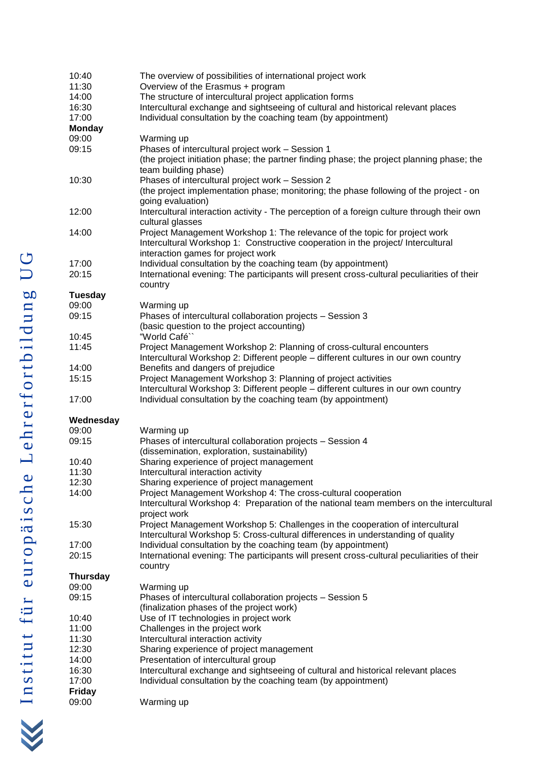| 10:40           | The overview of possibilities of international project work                                                                                         |
|-----------------|-----------------------------------------------------------------------------------------------------------------------------------------------------|
| 11:30           | Overview of the Erasmus + program                                                                                                                   |
| 14:00           | The structure of intercultural project application forms                                                                                            |
| 16:30           | Intercultural exchange and sightseeing of cultural and historical relevant places                                                                   |
| 17:00           | Individual consultation by the coaching team (by appointment)                                                                                       |
| <b>Monday</b>   |                                                                                                                                                     |
| 09:00           | Warming up                                                                                                                                          |
| 09:15           | Phases of intercultural project work - Session 1                                                                                                    |
|                 | (the project initiation phase; the partner finding phase; the project planning phase; the                                                           |
|                 | team building phase)                                                                                                                                |
| 10:30           | Phases of intercultural project work - Session 2                                                                                                    |
|                 | (the project implementation phase; monitoring; the phase following of the project - on                                                              |
|                 | going evaluation)                                                                                                                                   |
| 12:00           | Intercultural interaction activity - The perception of a foreign culture through their own<br>cultural glasses                                      |
| 14:00           | Project Management Workshop 1: The relevance of the topic for project work                                                                          |
|                 | Intercultural Workshop 1: Constructive cooperation in the project/ Intercultural                                                                    |
|                 | interaction games for project work                                                                                                                  |
| 17:00           | Individual consultation by the coaching team (by appointment)                                                                                       |
| 20:15           | International evening: The participants will present cross-cultural peculiarities of their                                                          |
|                 | country                                                                                                                                             |
| <b>Tuesday</b>  |                                                                                                                                                     |
| 09:00           | Warming up                                                                                                                                          |
| 09:15           | Phases of intercultural collaboration projects - Session 3                                                                                          |
|                 | (basic question to the project accounting)                                                                                                          |
| 10:45           | "World Café"                                                                                                                                        |
| 11:45           | Project Management Workshop 2: Planning of cross-cultural encounters                                                                                |
|                 | Intercultural Workshop 2: Different people - different cultures in our own country                                                                  |
| 14:00           |                                                                                                                                                     |
| 15:15           | Benefits and dangers of prejudice<br>Project Management Workshop 3: Planning of project activities                                                  |
|                 |                                                                                                                                                     |
| 17:00           | Intercultural Workshop 3: Different people - different cultures in our own country<br>Individual consultation by the coaching team (by appointment) |
|                 |                                                                                                                                                     |
| Wednesday       |                                                                                                                                                     |
| 09:00           | Warming up                                                                                                                                          |
| 09:15           | Phases of intercultural collaboration projects - Session 4                                                                                          |
|                 | (dissemination, exploration, sustainability)                                                                                                        |
| 10:40           | Sharing experience of project management                                                                                                            |
| 11:30           | Intercultural interaction activity                                                                                                                  |
| 12:30           | Sharing experience of project management                                                                                                            |
| 14:00           | Project Management Workshop 4: The cross-cultural cooperation                                                                                       |
|                 | Intercultural Workshop 4: Preparation of the national team members on the intercultural                                                             |
|                 | project work                                                                                                                                        |
| 15:30           | Project Management Workshop 5: Challenges in the cooperation of intercultural                                                                       |
|                 | Intercultural Workshop 5: Cross-cultural differences in understanding of quality                                                                    |
| 17:00           | Individual consultation by the coaching team (by appointment)                                                                                       |
| 20:15           | International evening: The participants will present cross-cultural peculiarities of their                                                          |
|                 |                                                                                                                                                     |
|                 | country                                                                                                                                             |
| <b>Thursday</b> |                                                                                                                                                     |
| 09:00           | Warming up                                                                                                                                          |
| 09:15           | Phases of intercultural collaboration projects - Session 5                                                                                          |
|                 | (finalization phases of the project work)                                                                                                           |
| 10:40           | Use of IT technologies in project work                                                                                                              |
| 11:00           | Challenges in the project work                                                                                                                      |
| 11:30           | Intercultural interaction activity                                                                                                                  |
| 12:30           | Sharing experience of project management                                                                                                            |
| 14:00           | Presentation of intercultural group                                                                                                                 |
| 16:30           | Intercultural exchange and sightseeing of cultural and historical relevant places                                                                   |
| 17:00           | Individual consultation by the coaching team (by appointment)                                                                                       |
| <b>Friday</b>   |                                                                                                                                                     |
| 09:00           | Warming up                                                                                                                                          |